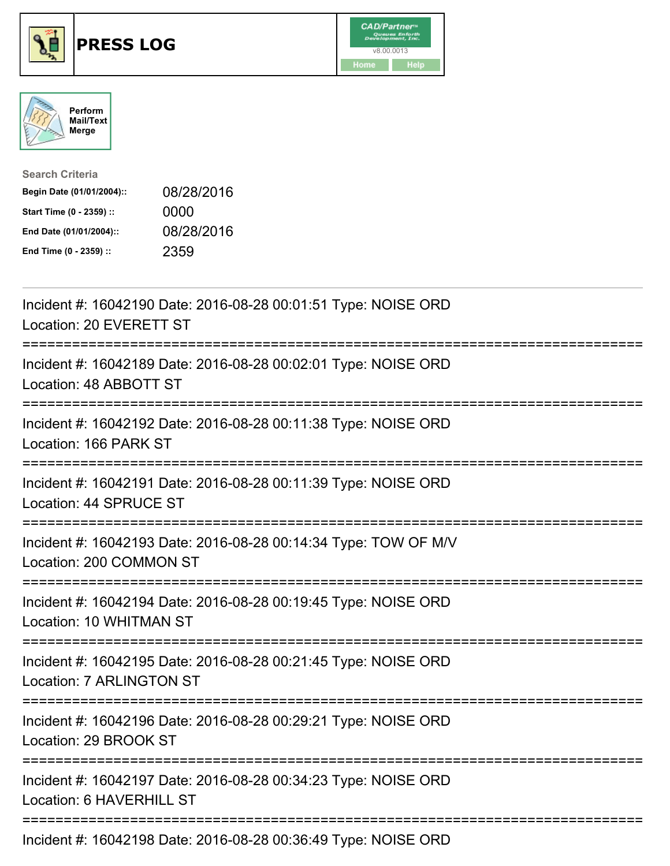





| <b>Search Criteria</b>    |            |
|---------------------------|------------|
| Begin Date (01/01/2004):: | 08/28/2016 |
| Start Time (0 - 2359) ::  | 0000       |
| End Date (01/01/2004)::   | 08/28/2016 |
| End Time (0 - 2359) ::    | 2359       |

| Incident #: 16042190 Date: 2016-08-28 00:01:51 Type: NOISE ORD<br>Location: 20 EVERETT ST                                                                                                                                                                                                                           |
|---------------------------------------------------------------------------------------------------------------------------------------------------------------------------------------------------------------------------------------------------------------------------------------------------------------------|
| Incident #: 16042189 Date: 2016-08-28 00:02:01 Type: NOISE ORD<br>Location: 48 ABBOTT ST<br>-------------------------------                                                                                                                                                                                         |
| Incident #: 16042192 Date: 2016-08-28 00:11:38 Type: NOISE ORD<br>Location: 166 PARK ST                                                                                                                                                                                                                             |
| Incident #: 16042191 Date: 2016-08-28 00:11:39 Type: NOISE ORD<br>Location: 44 SPRUCE ST                                                                                                                                                                                                                            |
| Incident #: 16042193 Date: 2016-08-28 00:14:34 Type: TOW OF M/V<br>Location: 200 COMMON ST<br>:===================================                                                                                                                                                                                  |
| Incident #: 16042194 Date: 2016-08-28 00:19:45 Type: NOISE ORD<br>Location: 10 WHITMAN ST                                                                                                                                                                                                                           |
| =====================================<br>Incident #: 16042195 Date: 2016-08-28 00:21:45 Type: NOISE ORD<br>Location: 7 ARLINGTON ST                                                                                                                                                                                 |
| Incident #: 16042196 Date: 2016-08-28 00:29:21 Type: NOISE ORD<br>Location: 29 BROOK ST                                                                                                                                                                                                                             |
| Incident #: 16042197 Date: 2016-08-28 00:34:23 Type: NOISE ORD<br>Location: 6 HAVERHILL ST                                                                                                                                                                                                                          |
| $\frac{1}{2}$ $\frac{1}{2}$ $\frac{1}{2}$ $\frac{1}{2}$ $\frac{1}{2}$ $\frac{1}{2}$ $\frac{1}{2}$ $\frac{1}{2}$ $\frac{1}{2}$ $\frac{1}{2}$ $\frac{1}{2}$ $\frac{1}{2}$ $\frac{1}{2}$ $\frac{1}{2}$ $\frac{1}{2}$ $\frac{1}{2}$ $\frac{1}{2}$ $\frac{1}{2}$ $\frac{1}{2}$ $\frac{1}{2}$ $\frac{1}{2}$ $\frac{1}{2}$ |

Incident #: 16042198 Date: 2016-08-28 00:36:49 Type: NOISE ORD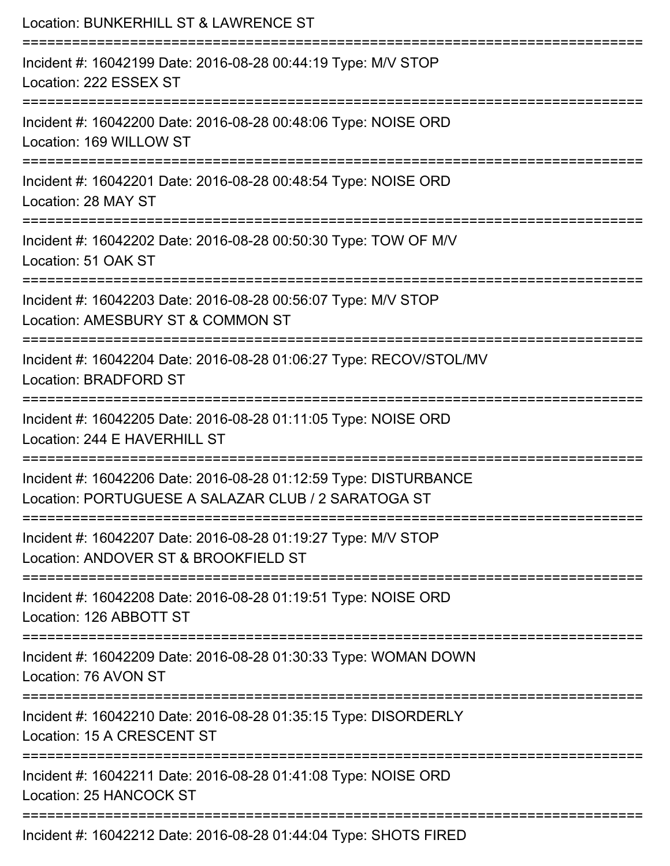| Location: BUNKERHILL ST & LAWRENCE ST                                                                                         |
|-------------------------------------------------------------------------------------------------------------------------------|
| Incident #: 16042199 Date: 2016-08-28 00:44:19 Type: M/V STOP<br>Location: 222 ESSEX ST                                       |
| Incident #: 16042200 Date: 2016-08-28 00:48:06 Type: NOISE ORD<br>Location: 169 WILLOW ST                                     |
| Incident #: 16042201 Date: 2016-08-28 00:48:54 Type: NOISE ORD<br>Location: 28 MAY ST                                         |
| Incident #: 16042202 Date: 2016-08-28 00:50:30 Type: TOW OF M/V<br>Location: 51 OAK ST                                        |
| Incident #: 16042203 Date: 2016-08-28 00:56:07 Type: M/V STOP<br>Location: AMESBURY ST & COMMON ST                            |
| :======================<br>Incident #: 16042204 Date: 2016-08-28 01:06:27 Type: RECOV/STOL/MV<br><b>Location: BRADFORD ST</b> |
| Incident #: 16042205 Date: 2016-08-28 01:11:05 Type: NOISE ORD<br>Location: 244 E HAVERHILL ST                                |
| Incident #: 16042206 Date: 2016-08-28 01:12:59 Type: DISTURBANCE<br>Location: PORTUGUESE A SALAZAR CLUB / 2 SARATOGA ST       |
| Incident #: 16042207 Date: 2016-08-28 01:19:27 Type: M/V STOP<br>Location: ANDOVER ST & BROOKFIELD ST                         |
| Incident #: 16042208 Date: 2016-08-28 01:19:51 Type: NOISE ORD<br>Location: 126 ABBOTT ST                                     |
| Incident #: 16042209 Date: 2016-08-28 01:30:33 Type: WOMAN DOWN<br>Location: 76 AVON ST                                       |
| Incident #: 16042210 Date: 2016-08-28 01:35:15 Type: DISORDERLY<br>Location: 15 A CRESCENT ST                                 |
| Incident #: 16042211 Date: 2016-08-28 01:41:08 Type: NOISE ORD<br>Location: 25 HANCOCK ST                                     |
| Incident #: 16042212 Date: 2016-08-28 01:44:04 Type: SHOTS FIRED                                                              |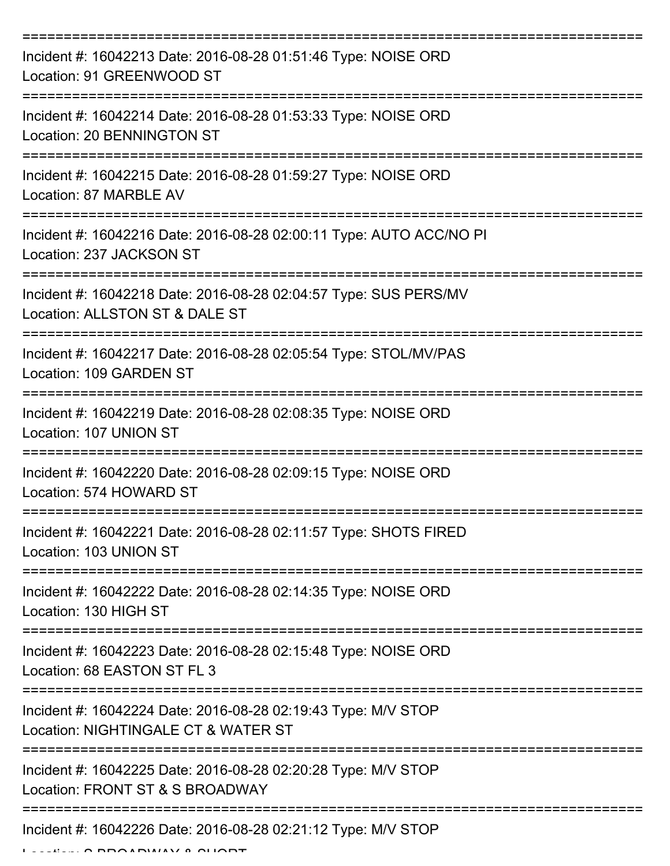| Incident #: 16042213 Date: 2016-08-28 01:51:46 Type: NOISE ORD<br>Location: 91 GREENWOOD ST          |
|------------------------------------------------------------------------------------------------------|
| Incident #: 16042214 Date: 2016-08-28 01:53:33 Type: NOISE ORD<br>Location: 20 BENNINGTON ST         |
| Incident #: 16042215 Date: 2016-08-28 01:59:27 Type: NOISE ORD<br>Location: 87 MARBLE AV             |
| Incident #: 16042216 Date: 2016-08-28 02:00:11 Type: AUTO ACC/NO PI<br>Location: 237 JACKSON ST      |
| Incident #: 16042218 Date: 2016-08-28 02:04:57 Type: SUS PERS/MV<br>Location: ALLSTON ST & DALE ST   |
| Incident #: 16042217 Date: 2016-08-28 02:05:54 Type: STOL/MV/PAS<br>Location: 109 GARDEN ST          |
| Incident #: 16042219 Date: 2016-08-28 02:08:35 Type: NOISE ORD<br>Location: 107 UNION ST             |
| Incident #: 16042220 Date: 2016-08-28 02:09:15 Type: NOISE ORD<br>Location: 574 HOWARD ST            |
| Incident #: 16042221 Date: 2016-08-28 02:11:57 Type: SHOTS FIRED<br>Location: 103 UNION ST           |
| Incident #: 16042222 Date: 2016-08-28 02:14:35 Type: NOISE ORD<br>Location: 130 HIGH ST              |
| Incident #: 16042223 Date: 2016-08-28 02:15:48 Type: NOISE ORD<br>Location: 68 EASTON ST FL 3        |
| Incident #: 16042224 Date: 2016-08-28 02:19:43 Type: M/V STOP<br>Location: NIGHTINGALE CT & WATER ST |
| Incident #: 16042225 Date: 2016-08-28 02:20:28 Type: M/V STOP<br>Location: FRONT ST & S BROADWAY     |
| Incident #: 16042226 Date: 2016-08-28 02:21:12 Type: M/V STOP                                        |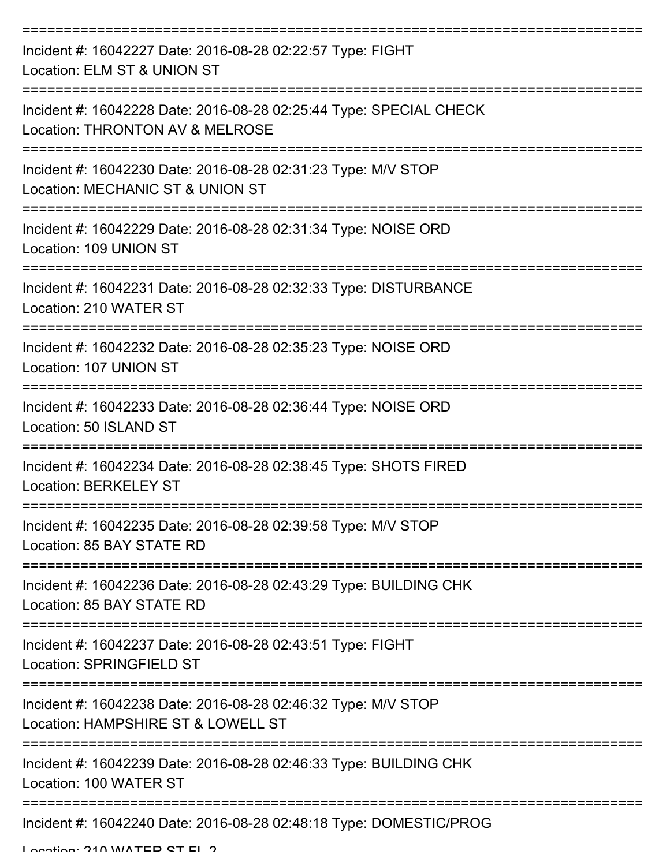| Incident #: 16042227 Date: 2016-08-28 02:22:57 Type: FIGHT<br>Location: ELM ST & UNION ST             |
|-------------------------------------------------------------------------------------------------------|
| Incident #: 16042228 Date: 2016-08-28 02:25:44 Type: SPECIAL CHECK<br>Location: THRONTON AV & MELROSE |
| Incident #: 16042230 Date: 2016-08-28 02:31:23 Type: M/V STOP<br>Location: MECHANIC ST & UNION ST     |
| Incident #: 16042229 Date: 2016-08-28 02:31:34 Type: NOISE ORD<br>Location: 109 UNION ST              |
| Incident #: 16042231 Date: 2016-08-28 02:32:33 Type: DISTURBANCE<br>Location: 210 WATER ST            |
| Incident #: 16042232 Date: 2016-08-28 02:35:23 Type: NOISE ORD<br>Location: 107 UNION ST              |
| Incident #: 16042233 Date: 2016-08-28 02:36:44 Type: NOISE ORD<br>Location: 50 ISLAND ST              |
| Incident #: 16042234 Date: 2016-08-28 02:38:45 Type: SHOTS FIRED<br><b>Location: BERKELEY ST</b>      |
| Incident #: 16042235 Date: 2016-08-28 02:39:58 Type: M/V STOP<br>Location: 85 BAY STATE RD            |
| Incident #: 16042236 Date: 2016-08-28 02:43:29 Type: BUILDING CHK<br>Location: 85 BAY STATE RD        |
| Incident #: 16042237 Date: 2016-08-28 02:43:51 Type: FIGHT<br><b>Location: SPRINGFIELD ST</b>         |
| Incident #: 16042238 Date: 2016-08-28 02:46:32 Type: M/V STOP<br>Location: HAMPSHIRE ST & LOWELL ST   |
| Incident #: 16042239 Date: 2016-08-28 02:46:33 Type: BUILDING CHK<br>Location: 100 WATER ST           |
| Incident #: 16042240 Date: 2016-08-28 02:48:18 Type: DOMESTIC/PROG                                    |

Location: 210 WATER ST FL 2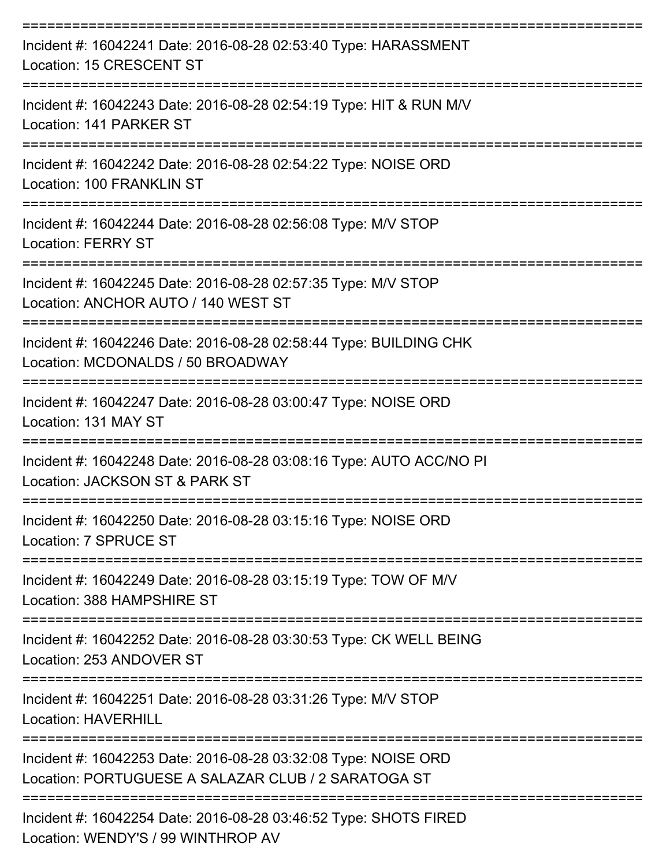| Incident #: 16042241 Date: 2016-08-28 02:53:40 Type: HARASSMENT<br><b>Location: 15 CRESCENT ST</b>                                        |
|-------------------------------------------------------------------------------------------------------------------------------------------|
| Incident #: 16042243 Date: 2016-08-28 02:54:19 Type: HIT & RUN M/V<br>Location: 141 PARKER ST                                             |
| Incident #: 16042242 Date: 2016-08-28 02:54:22 Type: NOISE ORD<br>Location: 100 FRANKLIN ST<br>-----------------                          |
| Incident #: 16042244 Date: 2016-08-28 02:56:08 Type: M/V STOP<br><b>Location: FERRY ST</b>                                                |
| ---------------------------------<br>Incident #: 16042245 Date: 2016-08-28 02:57:35 Type: M/V STOP<br>Location: ANCHOR AUTO / 140 WEST ST |
| Incident #: 16042246 Date: 2016-08-28 02:58:44 Type: BUILDING CHK<br>Location: MCDONALDS / 50 BROADWAY                                    |
| Incident #: 16042247 Date: 2016-08-28 03:00:47 Type: NOISE ORD<br>Location: 131 MAY ST                                                    |
| Incident #: 16042248 Date: 2016-08-28 03:08:16 Type: AUTO ACC/NO PI<br>Location: JACKSON ST & PARK ST                                     |
| Incident #: 16042250 Date: 2016-08-28 03:15:16 Type: NOISE ORD<br>Location: 7 SPRUCE ST                                                   |
| Incident #: 16042249 Date: 2016-08-28 03:15:19 Type: TOW OF M/V<br>Location: 388 HAMPSHIRE ST                                             |
| Incident #: 16042252 Date: 2016-08-28 03:30:53 Type: CK WELL BEING<br>Location: 253 ANDOVER ST                                            |
| Incident #: 16042251 Date: 2016-08-28 03:31:26 Type: M/V STOP<br><b>Location: HAVERHILL</b>                                               |
| Incident #: 16042253 Date: 2016-08-28 03:32:08 Type: NOISE ORD<br>Location: PORTUGUESE A SALAZAR CLUB / 2 SARATOGA ST                     |
| Incident #: 16042254 Date: 2016-08-28 03:46:52 Type: SHOTS FIRED<br>Location: WENDY'S / 99 WINTHROP AV                                    |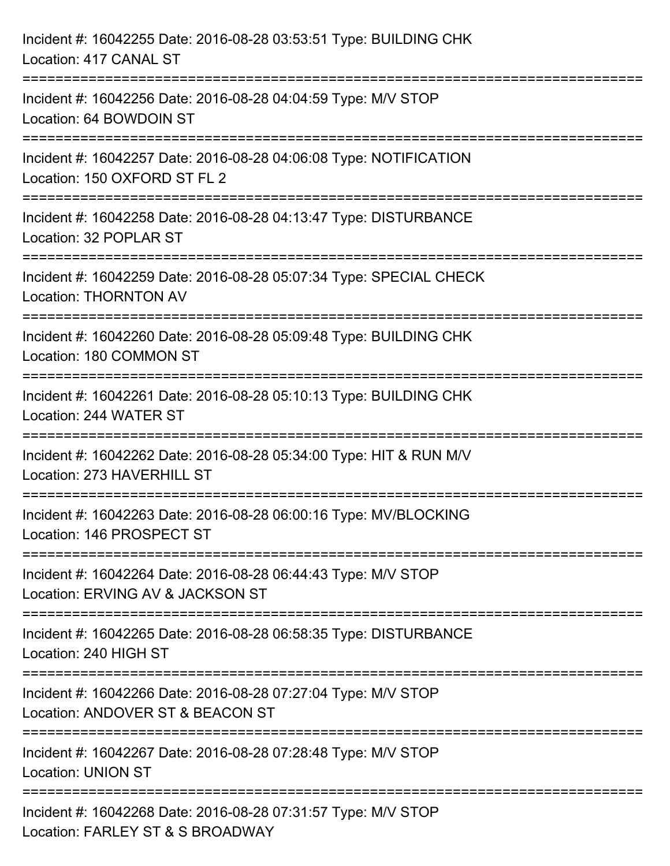| Incident #: 16042255 Date: 2016-08-28 03:53:51 Type: BUILDING CHK<br>Location: 417 CANAL ST                                     |
|---------------------------------------------------------------------------------------------------------------------------------|
| Incident #: 16042256 Date: 2016-08-28 04:04:59 Type: M/V STOP<br>Location: 64 BOWDOIN ST                                        |
| :=========================<br>Incident #: 16042257 Date: 2016-08-28 04:06:08 Type: NOTIFICATION<br>Location: 150 OXFORD ST FL 2 |
| Incident #: 16042258 Date: 2016-08-28 04:13:47 Type: DISTURBANCE<br>Location: 32 POPLAR ST                                      |
| Incident #: 16042259 Date: 2016-08-28 05:07:34 Type: SPECIAL CHECK<br><b>Location: THORNTON AV</b>                              |
| Incident #: 16042260 Date: 2016-08-28 05:09:48 Type: BUILDING CHK<br>Location: 180 COMMON ST                                    |
| Incident #: 16042261 Date: 2016-08-28 05:10:13 Type: BUILDING CHK<br>Location: 244 WATER ST                                     |
| Incident #: 16042262 Date: 2016-08-28 05:34:00 Type: HIT & RUN M/V<br>Location: 273 HAVERHILL ST                                |
| Incident #: 16042263 Date: 2016-08-28 06:00:16 Type: MV/BLOCKING<br>Location: 146 PROSPECT ST                                   |
| Incident #: 16042264 Date: 2016-08-28 06:44:43 Type: M/V STOP<br>Location: ERVING AV & JACKSON ST                               |
| Incident #: 16042265 Date: 2016-08-28 06:58:35 Type: DISTURBANCE<br>Location: 240 HIGH ST                                       |
| Incident #: 16042266 Date: 2016-08-28 07:27:04 Type: M/V STOP<br>Location: ANDOVER ST & BEACON ST                               |
| Incident #: 16042267 Date: 2016-08-28 07:28:48 Type: M/V STOP<br><b>Location: UNION ST</b>                                      |
| Incident #: 16042268 Date: 2016-08-28 07:31:57 Type: M/V STOP<br>Location: FARLEY ST & S BROADWAY                               |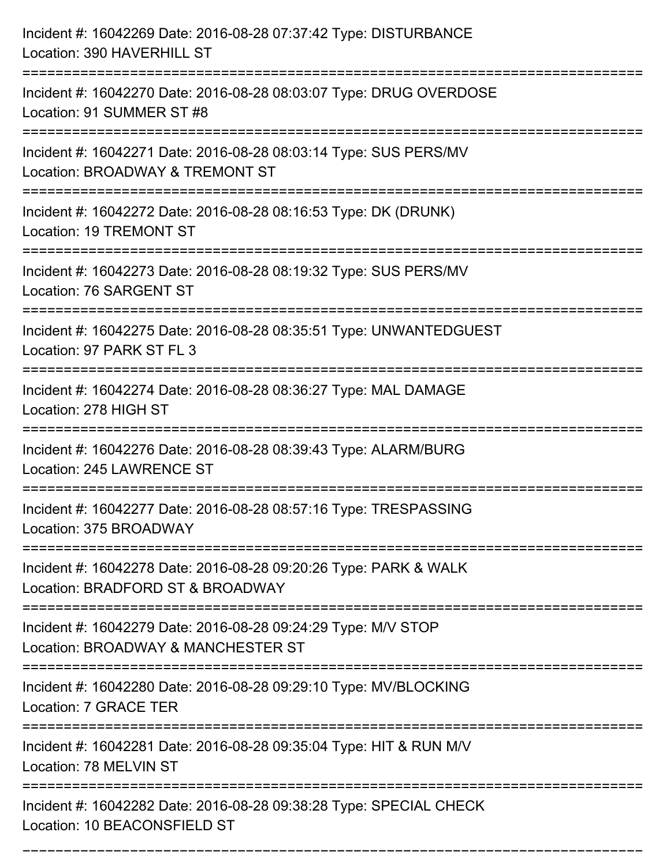| Incident #: 16042269 Date: 2016-08-28 07:37:42 Type: DISTURBANCE<br>Location: 390 HAVERHILL ST                                 |
|--------------------------------------------------------------------------------------------------------------------------------|
| Incident #: 16042270 Date: 2016-08-28 08:03:07 Type: DRUG OVERDOSE<br>Location: 91 SUMMER ST #8                                |
| Incident #: 16042271 Date: 2016-08-28 08:03:14 Type: SUS PERS/MV<br>Location: BROADWAY & TREMONT ST<br>====================    |
| Incident #: 16042272 Date: 2016-08-28 08:16:53 Type: DK (DRUNK)<br><b>Location: 19 TREMONT ST</b>                              |
| Incident #: 16042273 Date: 2016-08-28 08:19:32 Type: SUS PERS/MV<br>Location: 76 SARGENT ST                                    |
| Incident #: 16042275 Date: 2016-08-28 08:35:51 Type: UNWANTEDGUEST<br>Location: 97 PARK ST FL 3                                |
| Incident #: 16042274 Date: 2016-08-28 08:36:27 Type: MAL DAMAGE<br>Location: 278 HIGH ST<br>:================================= |
| Incident #: 16042276 Date: 2016-08-28 08:39:43 Type: ALARM/BURG<br>Location: 245 LAWRENCE ST                                   |
| Incident #: 16042277 Date: 2016-08-28 08:57:16 Type: TRESPASSING<br>Location: 375 BROADWAY                                     |
| Incident #: 16042278 Date: 2016-08-28 09:20:26 Type: PARK & WALK<br>Location: BRADFORD ST & BROADWAY                           |
| Incident #: 16042279 Date: 2016-08-28 09:24:29 Type: M/V STOP<br>Location: BROADWAY & MANCHESTER ST                            |
| Incident #: 16042280 Date: 2016-08-28 09:29:10 Type: MV/BLOCKING<br>Location: 7 GRACE TER                                      |
| Incident #: 16042281 Date: 2016-08-28 09:35:04 Type: HIT & RUN M/V<br>Location: 78 MELVIN ST                                   |
| Incident #: 16042282 Date: 2016-08-28 09:38:28 Type: SPECIAL CHECK<br>Location: 10 BEACONSFIELD ST                             |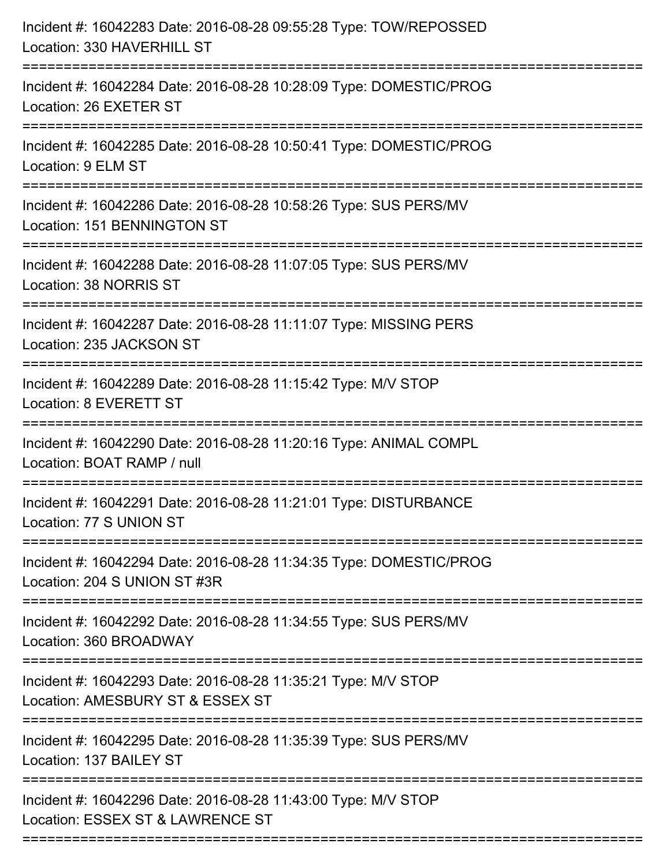| Incident #: 16042283 Date: 2016-08-28 09:55:28 Type: TOW/REPOSSED<br>Location: 330 HAVERHILL ST<br>====================== |
|---------------------------------------------------------------------------------------------------------------------------|
| Incident #: 16042284 Date: 2016-08-28 10:28:09 Type: DOMESTIC/PROG<br>Location: 26 EXETER ST                              |
| Incident #: 16042285 Date: 2016-08-28 10:50:41 Type: DOMESTIC/PROG<br>Location: 9 ELM ST                                  |
| Incident #: 16042286 Date: 2016-08-28 10:58:26 Type: SUS PERS/MV<br>Location: 151 BENNINGTON ST                           |
| Incident #: 16042288 Date: 2016-08-28 11:07:05 Type: SUS PERS/MV<br>Location: 38 NORRIS ST                                |
| Incident #: 16042287 Date: 2016-08-28 11:11:07 Type: MISSING PERS<br>Location: 235 JACKSON ST                             |
| Incident #: 16042289 Date: 2016-08-28 11:15:42 Type: M/V STOP<br>Location: 8 EVERETT ST<br>------------------------------ |
| Incident #: 16042290 Date: 2016-08-28 11:20:16 Type: ANIMAL COMPL<br>Location: BOAT RAMP / null                           |
| Incident #: 16042291 Date: 2016-08-28 11:21:01 Type: DISTURBANCE<br>Location: 77 S UNION ST                               |
| Incident #: 16042294 Date: 2016-08-28 11:34:35 Type: DOMESTIC/PROG<br>Location: 204 S UNION ST #3R                        |
| Incident #: 16042292 Date: 2016-08-28 11:34:55 Type: SUS PERS/MV<br>Location: 360 BROADWAY                                |
| Incident #: 16042293 Date: 2016-08-28 11:35:21 Type: M/V STOP<br>Location: AMESBURY ST & ESSEX ST                         |
| Incident #: 16042295 Date: 2016-08-28 11:35:39 Type: SUS PERS/MV<br>Location: 137 BAILEY ST                               |
| Incident #: 16042296 Date: 2016-08-28 11:43:00 Type: M/V STOP<br>Location: ESSEX ST & LAWRENCE ST                         |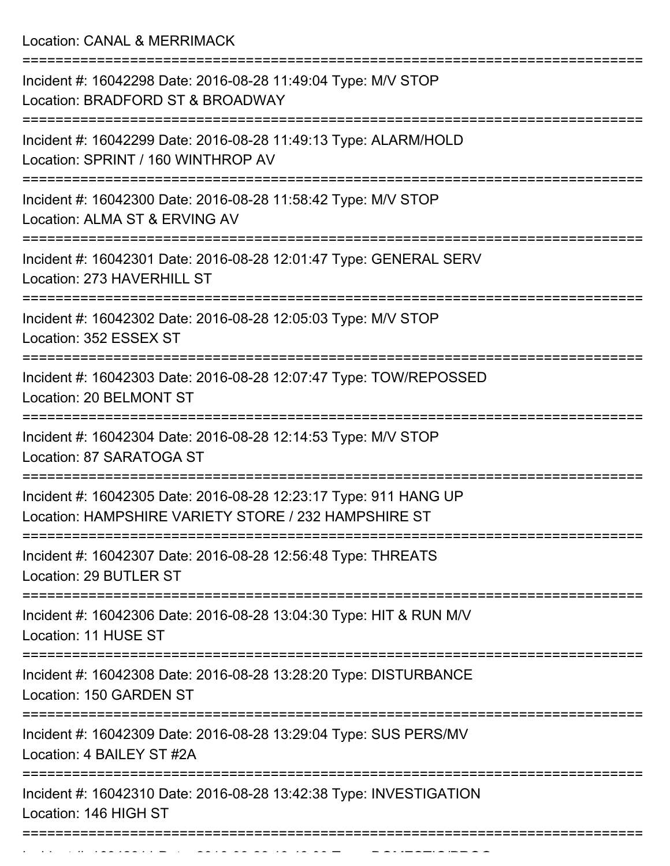Location: CANAL & MERRIMACK

| Incident #: 16042298 Date: 2016-08-28 11:49:04 Type: M/V STOP<br>Location: BRADFORD ST & BROADWAY                        |
|--------------------------------------------------------------------------------------------------------------------------|
| Incident #: 16042299 Date: 2016-08-28 11:49:13 Type: ALARM/HOLD<br>Location: SPRINT / 160 WINTHROP AV                    |
| Incident #: 16042300 Date: 2016-08-28 11:58:42 Type: M/V STOP<br>Location: ALMA ST & ERVING AV                           |
| Incident #: 16042301 Date: 2016-08-28 12:01:47 Type: GENERAL SERV<br>Location: 273 HAVERHILL ST                          |
| Incident #: 16042302 Date: 2016-08-28 12:05:03 Type: M/V STOP<br>Location: 352 ESSEX ST                                  |
| Incident #: 16042303 Date: 2016-08-28 12:07:47 Type: TOW/REPOSSED<br>Location: 20 BELMONT ST                             |
| Incident #: 16042304 Date: 2016-08-28 12:14:53 Type: M/V STOP<br>Location: 87 SARATOGA ST                                |
| Incident #: 16042305 Date: 2016-08-28 12:23:17 Type: 911 HANG UP<br>Location: HAMPSHIRE VARIETY STORE / 232 HAMPSHIRE ST |
| Incident #: 16042307 Date: 2016-08-28 12:56:48 Type: THREATS<br>Location: 29 BUTLER ST                                   |
| Incident #: 16042306 Date: 2016-08-28 13:04:30 Type: HIT & RUN M/V<br>Location: 11 HUSE ST                               |
| Incident #: 16042308 Date: 2016-08-28 13:28:20 Type: DISTURBANCE<br>Location: 150 GARDEN ST                              |
| Incident #: 16042309 Date: 2016-08-28 13:29:04 Type: SUS PERS/MV<br>Location: 4 BAILEY ST #2A                            |
| Incident #: 16042310 Date: 2016-08-28 13:42:38 Type: INVESTIGATION<br>Location: 146 HIGH ST                              |
|                                                                                                                          |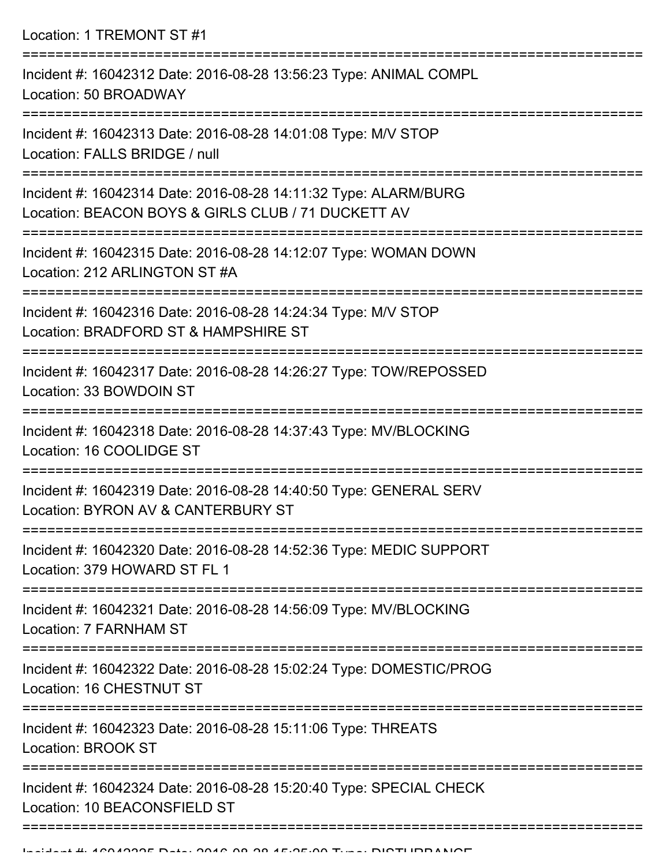Location: 1 TREMONT ST #1

| Incident #: 16042312 Date: 2016-08-28 13:56:23 Type: ANIMAL COMPL<br>Location: 50 BROADWAY                            |
|-----------------------------------------------------------------------------------------------------------------------|
| Incident #: 16042313 Date: 2016-08-28 14:01:08 Type: M/V STOP<br>Location: FALLS BRIDGE / null                        |
| Incident #: 16042314 Date: 2016-08-28 14:11:32 Type: ALARM/BURG<br>Location: BEACON BOYS & GIRLS CLUB / 71 DUCKETT AV |
| Incident #: 16042315 Date: 2016-08-28 14:12:07 Type: WOMAN DOWN<br>Location: 212 ARLINGTON ST #A                      |
| Incident #: 16042316 Date: 2016-08-28 14:24:34 Type: M/V STOP<br>Location: BRADFORD ST & HAMPSHIRE ST                 |
| Incident #: 16042317 Date: 2016-08-28 14:26:27 Type: TOW/REPOSSED<br>Location: 33 BOWDOIN ST                          |
| Incident #: 16042318 Date: 2016-08-28 14:37:43 Type: MV/BLOCKING<br>Location: 16 COOLIDGE ST                          |
| Incident #: 16042319 Date: 2016-08-28 14:40:50 Type: GENERAL SERV<br>Location: BYRON AV & CANTERBURY ST               |
| Incident #: 16042320 Date: 2016-08-28 14:52:36 Type: MEDIC SUPPORT<br>Location: 379 HOWARD ST FL 1                    |
| Incident #: 16042321 Date: 2016-08-28 14:56:09 Type: MV/BLOCKING<br>Location: 7 FARNHAM ST                            |
| Incident #: 16042322 Date: 2016-08-28 15:02:24 Type: DOMESTIC/PROG<br>Location: 16 CHESTNUT ST                        |
| Incident #: 16042323 Date: 2016-08-28 15:11:06 Type: THREATS<br><b>Location: BROOK ST</b>                             |
| Incident #: 16042324 Date: 2016-08-28 15:20:40 Type: SPECIAL CHECK<br>Location: 10 BEACONSFIELD ST                    |
|                                                                                                                       |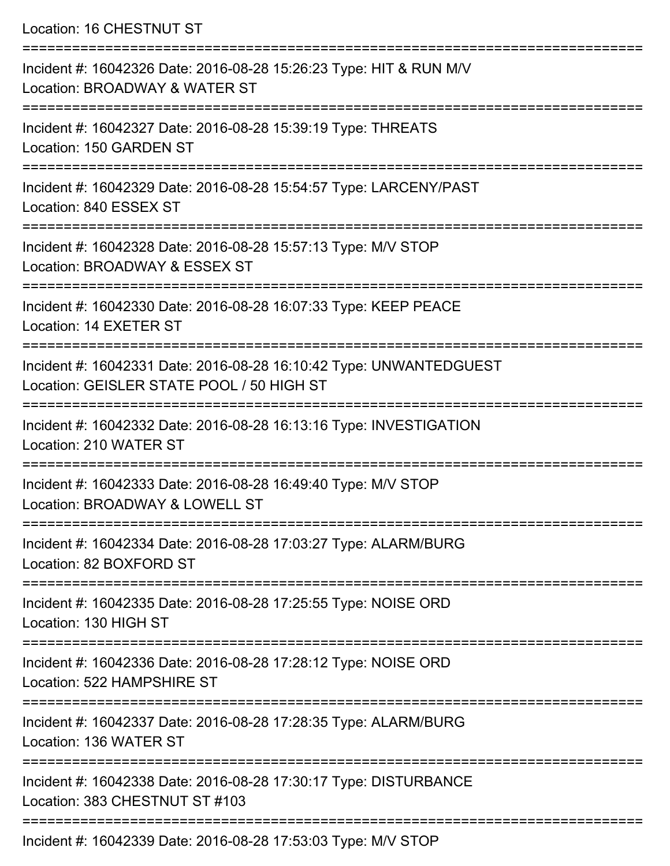Location: 16 CHESTNUT ST

| Incident #: 16042326 Date: 2016-08-28 15:26:23 Type: HIT & RUN M/V<br>Location: BROADWAY & WATER ST             |
|-----------------------------------------------------------------------------------------------------------------|
| Incident #: 16042327 Date: 2016-08-28 15:39:19 Type: THREATS<br>Location: 150 GARDEN ST                         |
| Incident #: 16042329 Date: 2016-08-28 15:54:57 Type: LARCENY/PAST<br>Location: 840 ESSEX ST                     |
| Incident #: 16042328 Date: 2016-08-28 15:57:13 Type: M/V STOP<br>Location: BROADWAY & ESSEX ST                  |
| Incident #: 16042330 Date: 2016-08-28 16:07:33 Type: KEEP PEACE<br>Location: 14 EXETER ST                       |
| Incident #: 16042331 Date: 2016-08-28 16:10:42 Type: UNWANTEDGUEST<br>Location: GEISLER STATE POOL / 50 HIGH ST |
| Incident #: 16042332 Date: 2016-08-28 16:13:16 Type: INVESTIGATION<br>Location: 210 WATER ST                    |
| Incident #: 16042333 Date: 2016-08-28 16:49:40 Type: M/V STOP<br>Location: BROADWAY & LOWELL ST                 |
| Incident #: 16042334 Date: 2016-08-28 17:03:27 Type: ALARM/BURG<br>Location: 82 BOXFORD ST                      |
| Incident #: 16042335 Date: 2016-08-28 17:25:55 Type: NOISE ORD<br>Location: 130 HIGH ST                         |
| Incident #: 16042336 Date: 2016-08-28 17:28:12 Type: NOISE ORD<br>Location: 522 HAMPSHIRE ST                    |
| Incident #: 16042337 Date: 2016-08-28 17:28:35 Type: ALARM/BURG<br>Location: 136 WATER ST                       |
| Incident #: 16042338 Date: 2016-08-28 17:30:17 Type: DISTURBANCE<br>Location: 383 CHESTNUT ST #103              |
| Incident #: 16042339 Date: 2016-08-28 17:53:03 Type: M/V STOP                                                   |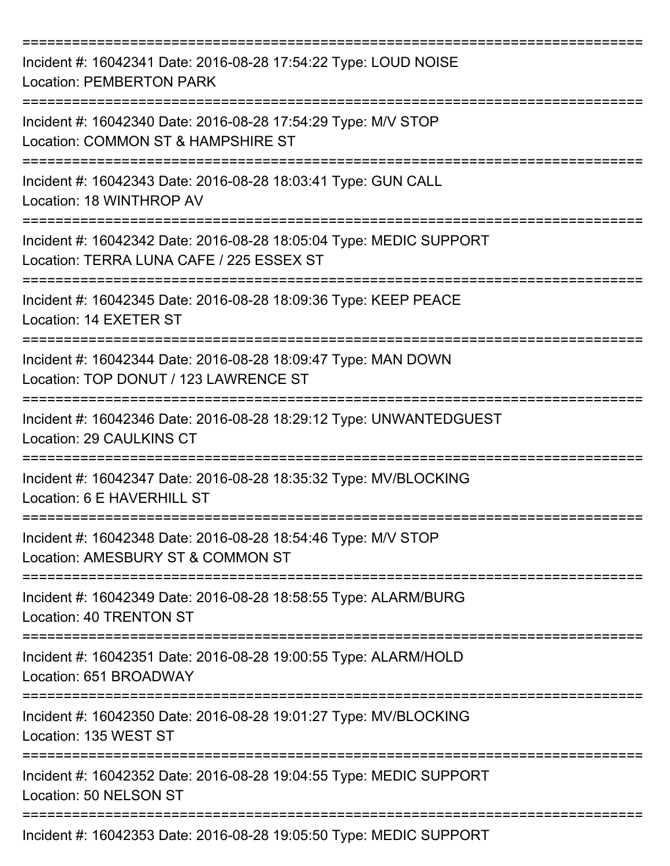| Incident #: 16042341 Date: 2016-08-28 17:54:22 Type: LOUD NOISE<br><b>Location: PEMBERTON PARK</b>                                 |
|------------------------------------------------------------------------------------------------------------------------------------|
| Incident #: 16042340 Date: 2016-08-28 17:54:29 Type: M/V STOP<br>Location: COMMON ST & HAMPSHIRE ST                                |
| Incident #: 16042343 Date: 2016-08-28 18:03:41 Type: GUN CALL<br>Location: 18 WINTHROP AV                                          |
| Incident #: 16042342 Date: 2016-08-28 18:05:04 Type: MEDIC SUPPORT<br>Location: TERRA LUNA CAFE / 225 ESSEX ST                     |
| Incident #: 16042345 Date: 2016-08-28 18:09:36 Type: KEEP PEACE<br>Location: 14 EXETER ST                                          |
| Incident #: 16042344 Date: 2016-08-28 18:09:47 Type: MAN DOWN<br>Location: TOP DONUT / 123 LAWRENCE ST                             |
| Incident #: 16042346 Date: 2016-08-28 18:29:12 Type: UNWANTEDGUEST<br>Location: 29 CAULKINS CT                                     |
| Incident #: 16042347 Date: 2016-08-28 18:35:32 Type: MV/BLOCKING<br>Location: 6 E HAVERHILL ST                                     |
| :===========================<br>Incident #: 16042348 Date: 2016-08-28 18:54:46 Type: M/V STOP<br>Location: AMESBURY ST & COMMON ST |
| Incident #: 16042349 Date: 2016-08-28 18:58:55 Type: ALARM/BURG<br>Location: 40 TRENTON ST                                         |
| Incident #: 16042351 Date: 2016-08-28 19:00:55 Type: ALARM/HOLD<br>Location: 651 BROADWAY                                          |
| Incident #: 16042350 Date: 2016-08-28 19:01:27 Type: MV/BLOCKING<br>Location: 135 WEST ST                                          |
| Incident #: 16042352 Date: 2016-08-28 19:04:55 Type: MEDIC SUPPORT<br>Location: 50 NELSON ST                                       |
| Incident #: 16042353 Date: 2016-08-28 19:05:50 Type: MEDIC SUPPORT                                                                 |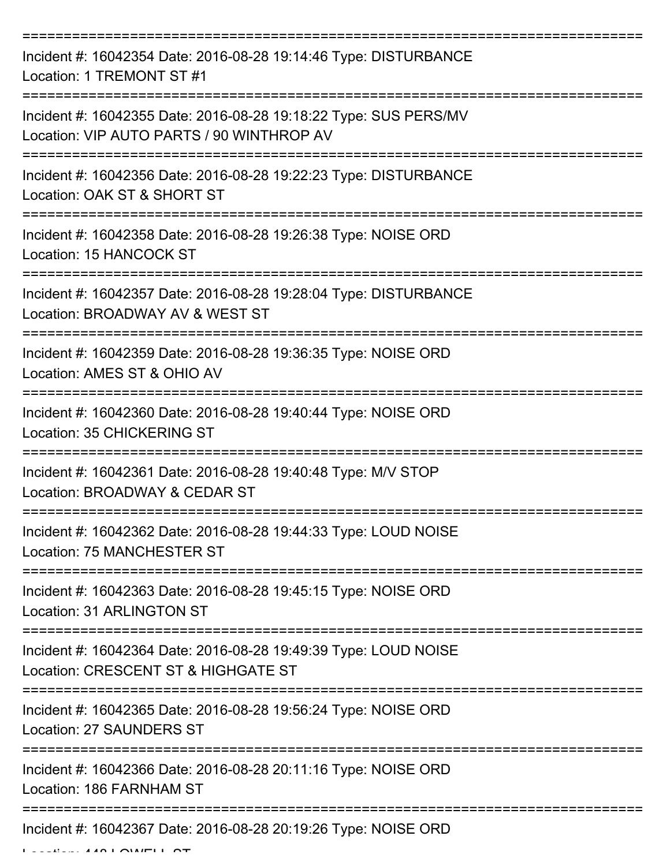| Incident #: 16042354 Date: 2016-08-28 19:14:46 Type: DISTURBANCE<br>Location: 1 TREMONT ST #1                         |
|-----------------------------------------------------------------------------------------------------------------------|
| Incident #: 16042355 Date: 2016-08-28 19:18:22 Type: SUS PERS/MV<br>Location: VIP AUTO PARTS / 90 WINTHROP AV         |
| Incident #: 16042356 Date: 2016-08-28 19:22:23 Type: DISTURBANCE<br>Location: OAK ST & SHORT ST                       |
| Incident #: 16042358 Date: 2016-08-28 19:26:38 Type: NOISE ORD<br>Location: 15 HANCOCK ST                             |
| Incident #: 16042357 Date: 2016-08-28 19:28:04 Type: DISTURBANCE<br>Location: BROADWAY AV & WEST ST                   |
| :===================<br>Incident #: 16042359 Date: 2016-08-28 19:36:35 Type: NOISE ORD<br>Location: AMES ST & OHIO AV |
| Incident #: 16042360 Date: 2016-08-28 19:40:44 Type: NOISE ORD<br>Location: 35 CHICKERING ST                          |
| Incident #: 16042361 Date: 2016-08-28 19:40:48 Type: M/V STOP<br>Location: BROADWAY & CEDAR ST                        |
| Incident #: 16042362 Date: 2016-08-28 19:44:33 Type: LOUD NOISE<br>Location: 75 MANCHESTER ST                         |
| ============<br>Incident #: 16042363 Date: 2016-08-28 19:45:15 Type: NOISE ORD<br><b>Location: 31 ARLINGTON ST</b>    |
| Incident #: 16042364 Date: 2016-08-28 19:49:39 Type: LOUD NOISE<br>Location: CRESCENT ST & HIGHGATE ST                |
| Incident #: 16042365 Date: 2016-08-28 19:56:24 Type: NOISE ORD<br><b>Location: 27 SAUNDERS ST</b>                     |
| Incident #: 16042366 Date: 2016-08-28 20:11:16 Type: NOISE ORD<br>Location: 186 FARNHAM ST                            |
| Incident #: 16042367 Date: 2016-08-28 20:19:26 Type: NOISE ORD                                                        |

Location: 448 LOWELL ST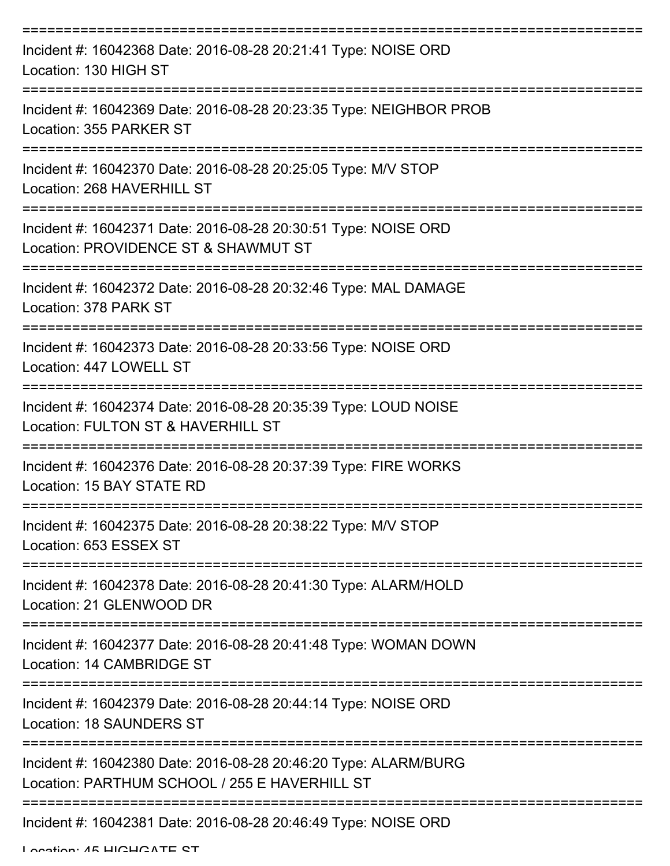| Incident #: 16042368 Date: 2016-08-28 20:21:41 Type: NOISE ORD<br>Location: 130 HIGH ST                          |
|------------------------------------------------------------------------------------------------------------------|
| Incident #: 16042369 Date: 2016-08-28 20:23:35 Type: NEIGHBOR PROB<br>Location: 355 PARKER ST                    |
| Incident #: 16042370 Date: 2016-08-28 20:25:05 Type: M/V STOP<br>Location: 268 HAVERHILL ST                      |
| Incident #: 16042371 Date: 2016-08-28 20:30:51 Type: NOISE ORD<br>Location: PROVIDENCE ST & SHAWMUT ST           |
| Incident #: 16042372 Date: 2016-08-28 20:32:46 Type: MAL DAMAGE<br>Location: 378 PARK ST                         |
| Incident #: 16042373 Date: 2016-08-28 20:33:56 Type: NOISE ORD<br>Location: 447 LOWELL ST                        |
| Incident #: 16042374 Date: 2016-08-28 20:35:39 Type: LOUD NOISE<br>Location: FULTON ST & HAVERHILL ST            |
| Incident #: 16042376 Date: 2016-08-28 20:37:39 Type: FIRE WORKS<br>Location: 15 BAY STATE RD                     |
| Incident #: 16042375 Date: 2016-08-28 20:38:22 Type: M/V STOP<br>Location: 653 ESSEX ST                          |
| Incident #: 16042378 Date: 2016-08-28 20:41:30 Type: ALARM/HOLD<br>Location: 21 GLENWOOD DR                      |
| Incident #: 16042377 Date: 2016-08-28 20:41:48 Type: WOMAN DOWN<br>Location: 14 CAMBRIDGE ST                     |
| Incident #: 16042379 Date: 2016-08-28 20:44:14 Type: NOISE ORD<br>Location: 18 SAUNDERS ST                       |
| Incident #: 16042380 Date: 2016-08-28 20:46:20 Type: ALARM/BURG<br>Location: PARTHUM SCHOOL / 255 E HAVERHILL ST |
| Incident #: 16042381 Date: 2016-08-28 20:46:49 Type: NOISE ORD                                                   |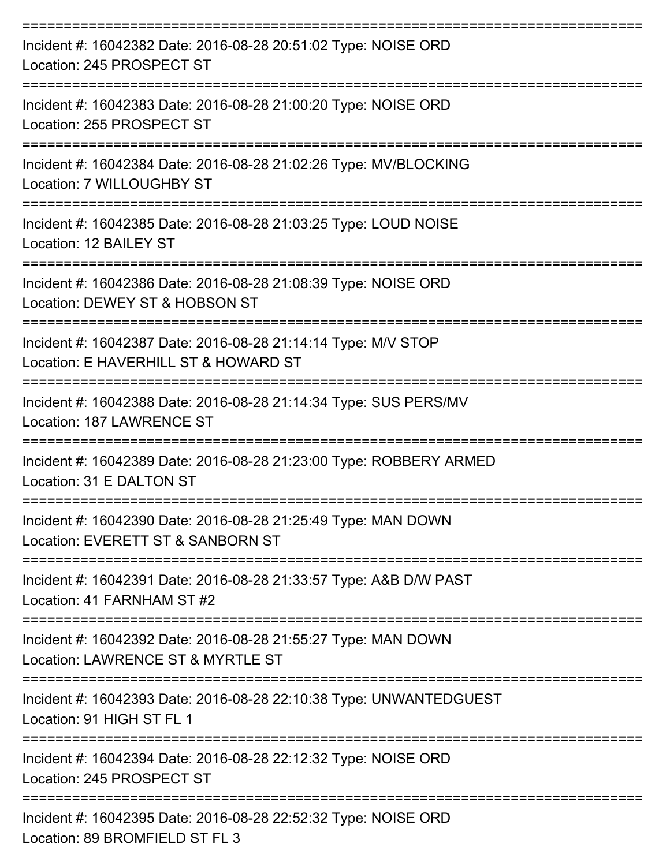| Incident #: 16042382 Date: 2016-08-28 20:51:02 Type: NOISE ORD<br>Location: 245 PROSPECT ST                           |
|-----------------------------------------------------------------------------------------------------------------------|
| Incident #: 16042383 Date: 2016-08-28 21:00:20 Type: NOISE ORD<br>Location: 255 PROSPECT ST<br>-----------            |
| Incident #: 16042384 Date: 2016-08-28 21:02:26 Type: MV/BLOCKING<br>Location: 7 WILLOUGHBY ST                         |
| Incident #: 16042385 Date: 2016-08-28 21:03:25 Type: LOUD NOISE<br>Location: 12 BAILEY ST                             |
| =================<br>Incident #: 16042386 Date: 2016-08-28 21:08:39 Type: NOISE ORD<br>Location: DEWEY ST & HOBSON ST |
| Incident #: 16042387 Date: 2016-08-28 21:14:14 Type: M/V STOP<br>Location: E HAVERHILL ST & HOWARD ST                 |
| Incident #: 16042388 Date: 2016-08-28 21:14:34 Type: SUS PERS/MV<br>Location: 187 LAWRENCE ST                         |
| Incident #: 16042389 Date: 2016-08-28 21:23:00 Type: ROBBERY ARMED<br>Location: 31 E DALTON ST                        |
| Incident #: 16042390 Date: 2016-08-28 21:25:49 Type: MAN DOWN<br>Location: EVERETT ST & SANBORN ST                    |
| Incident #: 16042391 Date: 2016-08-28 21:33:57 Type: A&B D/W PAST<br>Location: 41 FARNHAM ST #2                       |
| Incident #: 16042392 Date: 2016-08-28 21:55:27 Type: MAN DOWN<br>Location: LAWRENCE ST & MYRTLE ST                    |
| Incident #: 16042393 Date: 2016-08-28 22:10:38 Type: UNWANTEDGUEST<br>Location: 91 HIGH ST FL 1                       |
| Incident #: 16042394 Date: 2016-08-28 22:12:32 Type: NOISE ORD<br>Location: 245 PROSPECT ST                           |
| Incident #: 16042395 Date: 2016-08-28 22:52:32 Type: NOISE ORD<br>Location: $90$ DDOMEIELD CT EL 2                    |

Location: 89 BROMFIELD ST FL 3